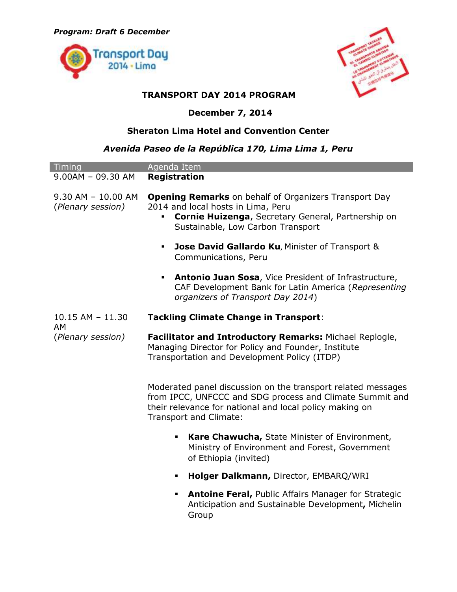



## **TRANSPORT DAY 2014 PROGRAM**

## **December 7, 2014**

## **Sheraton Lima Hotel and Convention Center**

## *Avenida Paseo de la República 170, Lima Lima 1, Peru*

| Timing                                      | Agenda Item                                                                                                                                                                                                   |
|---------------------------------------------|---------------------------------------------------------------------------------------------------------------------------------------------------------------------------------------------------------------|
| $9.00AM - 09.30 AM$                         | <b>Registration</b>                                                                                                                                                                                           |
| $9.30$ AM - $10.00$ AM<br>(Plenary session) | <b>Opening Remarks</b> on behalf of Organizers Transport Day<br>2014 and local hosts in Lima, Peru<br>Cornie Huizenga, Secretary General, Partnership on<br>Sustainable, Low Carbon Transport                 |
|                                             | <b>Jose David Gallardo Ku, Minister of Transport &amp;</b><br>Communications, Peru                                                                                                                            |
|                                             | Antonio Juan Sosa, Vice President of Infrastructure,<br>٠<br>CAF Development Bank for Latin America (Representing<br>organizers of Transport Day 2014)                                                        |
| $10.15$ AM $- 11.30$<br>AM                  | <b>Tackling Climate Change in Transport:</b>                                                                                                                                                                  |
| (Plenary session)                           | Facilitator and Introductory Remarks: Michael Replogle,<br>Managing Director for Policy and Founder, Institute<br>Transportation and Development Policy (ITDP)                                                |
|                                             | Moderated panel discussion on the transport related messages<br>from IPCC, UNFCCC and SDG process and Climate Summit and<br>their relevance for national and local policy making on<br>Transport and Climate: |
|                                             | Kare Chawucha, State Minister of Environment,<br>٠<br>Ministry of Environment and Forest, Government<br>of Ethiopia (invited)                                                                                 |
|                                             | Holger Dalkmann, Director, EMBARQ/WRI<br>$\blacksquare$                                                                                                                                                       |
|                                             | <b>Antoine Feral, Public Affairs Manager for Strategic</b><br>٠<br>Anticipation and Sustainable Development, Michelin<br>Group                                                                                |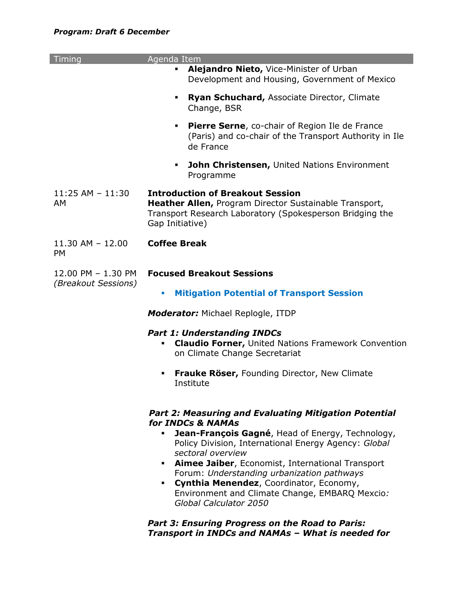| Timing                                           | Agenda Item                                                                                                                                                                                                                                                                                                                                                                                                                          |
|--------------------------------------------------|--------------------------------------------------------------------------------------------------------------------------------------------------------------------------------------------------------------------------------------------------------------------------------------------------------------------------------------------------------------------------------------------------------------------------------------|
|                                                  | Alejandro Nieto, Vice-Minister of Urban<br>٠<br>Development and Housing, Government of Mexico                                                                                                                                                                                                                                                                                                                                        |
|                                                  | Ryan Schuchard, Associate Director, Climate<br>٠<br>Change, BSR                                                                                                                                                                                                                                                                                                                                                                      |
|                                                  | <b>Pierre Serne, co-chair of Region Ile de France</b><br>٠<br>(Paris) and co-chair of the Transport Authority in Ile<br>de France                                                                                                                                                                                                                                                                                                    |
|                                                  | <b>John Christensen, United Nations Environment</b><br>٠<br>Programme                                                                                                                                                                                                                                                                                                                                                                |
| $11:25$ AM - $11:30$<br>AM                       | <b>Introduction of Breakout Session</b><br>Heather Allen, Program Director Sustainable Transport,<br>Transport Research Laboratory (Spokesperson Bridging the<br>Gap Initiative)                                                                                                                                                                                                                                                     |
| $11.30$ AM - $12.00$<br><b>PM</b>                | <b>Coffee Break</b>                                                                                                                                                                                                                                                                                                                                                                                                                  |
| 12.00 PM - 1.30 PM<br><i>(Breakout Sessions)</i> | <b>Focused Breakout Sessions</b>                                                                                                                                                                                                                                                                                                                                                                                                     |
|                                                  | <b>Mitigation Potential of Transport Session</b><br>×                                                                                                                                                                                                                                                                                                                                                                                |
|                                                  | <b>Moderator:</b> Michael Replogle, ITDP                                                                                                                                                                                                                                                                                                                                                                                             |
|                                                  | <b>Part 1: Understanding INDCs</b><br><b>Claudio Forner, United Nations Framework Convention</b><br>on Climate Change Secretariat                                                                                                                                                                                                                                                                                                    |
|                                                  | <b>Frauke Röser, Founding Director, New Climate</b><br>٠<br>Institute                                                                                                                                                                                                                                                                                                                                                                |
|                                                  | <b>Part 2: Measuring and Evaluating Mitigation Potential</b><br>for INDCs & NAMAs<br><b>Jean-François Gagné, Head of Energy, Technology,</b><br>٠<br>Policy Division, International Energy Agency: Global<br>sectoral overview<br>• Aimee Jaiber, Economist, International Transport<br>Forum: Understanding urbanization pathways<br>Cynthia Menendez, Coordinator, Economy,<br>٠<br>Environment and Climate Change, EMBARQ Mexcio: |

*Part 3: Ensuring Progress on the Road to Paris: Transport in INDCs and NAMAs – What is needed for* 

*Global Calculator 2050*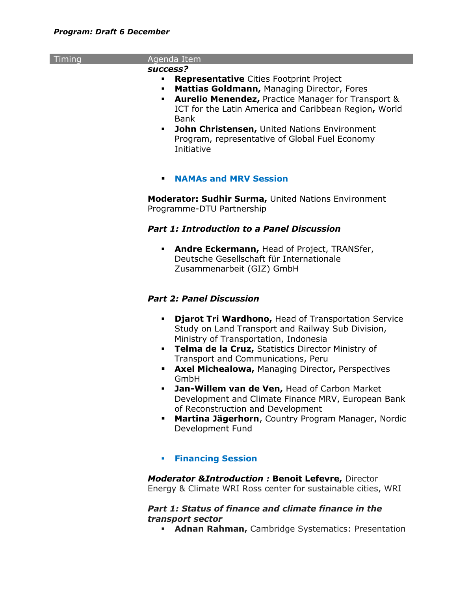| Timing | Agenda Item                                                                                                                                       |
|--------|---------------------------------------------------------------------------------------------------------------------------------------------------|
|        | success?                                                                                                                                          |
|        | <b>Representative Cities Footprint Project</b><br>$\blacksquare$                                                                                  |
|        | Mattias Goldmann, Managing Director, Fores<br>$\blacksquare$                                                                                      |
|        | <b>Aurelio Menendez, Practice Manager for Transport &amp;</b><br>$\blacksquare$                                                                   |
|        | ICT for the Latin America and Caribbean Region, World                                                                                             |
|        | <b>Bank</b>                                                                                                                                       |
|        | John Christensen, United Nations Environment<br>$\blacksquare$<br>Program, representative of Global Fuel Economy<br>Initiative                    |
|        | <b>NAMAs and MRV Session</b><br>٠                                                                                                                 |
|        | <b>Moderator: Sudhir Surma, United Nations Environment</b><br>Programme-DTU Partnership                                                           |
|        | <b>Part 1: Introduction to a Panel Discussion</b>                                                                                                 |
|        | Andre Eckermann, Head of Project, TRANSfer,<br>$\mathbf{E} = \mathbf{E}$<br>Deutsche Gesellschaft für Internationale<br>Zusammenarbeit (GIZ) GmbH |
|        | <b>Part 2: Panel Discussion</b>                                                                                                                   |
|        | Djarot Tri Wardhono, Head of Transportation Service<br>٠<br>Study on Land Transport and Railway Sub Division,                                     |
|        | Ministry of Transportation, Indonesia                                                                                                             |
|        | Telma de la Cruz, Statistics Director Ministry of<br>$\blacksquare$                                                                               |
|        | Transport and Communications, Peru                                                                                                                |
|        | <b>Axel Michealowa, Managing Director, Perspectives</b><br>п                                                                                      |
|        | GmbH                                                                                                                                              |
|        | Jan-Willem van de Ven, Head of Carbon Market                                                                                                      |
|        | Development and Climate Finance MRV, European Bank<br>of Reconstruction and Development                                                           |
|        | Martina Jägerhorn, Country Program Manager, Nordic<br>п                                                                                           |
|        | Development Fund                                                                                                                                  |
|        | <b>Financing Session</b><br>$\overline{\phantom{a}}$                                                                                              |
|        |                                                                                                                                                   |
|        | <b>Moderator &amp; Introduction: Benoit Lefevre, Director</b><br>Energy & Climate WRI Ross center for sustainable cities, WRI                     |
|        | Part 1: Status of finance and climate finance in the<br>transport sector                                                                          |

**Adnan Rahman,** Cambridge Systematics: Presentation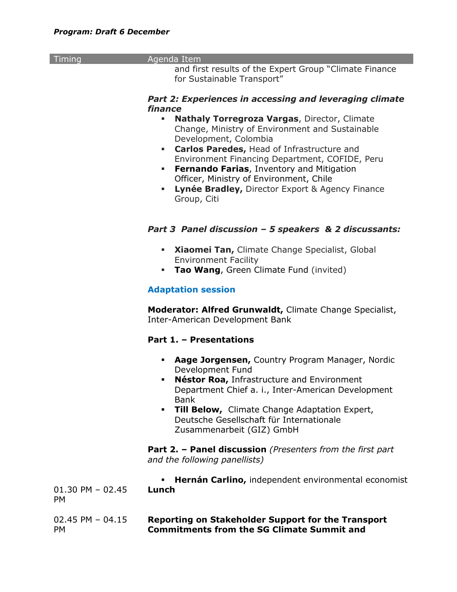| Timing              | Agenda Item                                                       |
|---------------------|-------------------------------------------------------------------|
|                     | and first results of the Expert Group "Climate Finance            |
|                     | for Sustainable Transport"                                        |
|                     |                                                                   |
|                     |                                                                   |
|                     | Part 2: Experiences in accessing and leveraging climate           |
|                     | finance                                                           |
|                     | <b>Nathaly Torregroza Vargas, Director, Climate</b><br>٠          |
|                     | Change, Ministry of Environment and Sustainable                   |
|                     |                                                                   |
|                     | Development, Colombia                                             |
|                     | Carlos Paredes, Head of Infrastructure and<br>٠                   |
|                     | Environment Financing Department, COFIDE, Peru                    |
|                     | <b>Fernando Farias, Inventory and Mitigation</b><br>п             |
|                     |                                                                   |
|                     | Officer, Ministry of Environment, Chile                           |
|                     | Lynée Bradley, Director Export & Agency Finance<br>٠              |
|                     | Group, Citi                                                       |
|                     |                                                                   |
|                     |                                                                   |
|                     |                                                                   |
|                     | Part 3 Panel discussion - 5 speakers & 2 discussants:             |
|                     |                                                                   |
|                     | Xiaomei Tan, Climate Change Specialist, Global<br>٠               |
|                     | <b>Environment Facility</b>                                       |
|                     |                                                                   |
|                     | Tao Wang, Green Climate Fund (invited)<br>٠                       |
|                     |                                                                   |
|                     | <b>Adaptation session</b>                                         |
|                     |                                                                   |
|                     | Moderator: Alfred Grunwaldt, Climate Change Specialist,           |
|                     |                                                                   |
|                     | Inter-American Development Bank                                   |
|                     |                                                                   |
|                     | Part 1. - Presentations                                           |
|                     |                                                                   |
|                     | Aage Jorgensen, Country Program Manager, Nordic<br>٠              |
|                     |                                                                   |
|                     | Development Fund                                                  |
|                     | Néstor Roa, Infrastructure and Environment<br>٠                   |
|                     | Department Chief a. i., Inter-American Development                |
|                     | <b>Bank</b>                                                       |
|                     |                                                                   |
|                     | Till Below, Climate Change Adaptation Expert,<br>٠                |
|                     | Deutsche Gesellschaft für Internationale                          |
|                     | Zusammenarbeit (GIZ) GmbH                                         |
|                     |                                                                   |
|                     | <b>Part 2. - Panel discussion</b> (Presenters from the first part |
|                     |                                                                   |
|                     | and the following panellists)                                     |
|                     |                                                                   |
|                     | Hernán Carlino, independent environmental economist               |
| $01.30$ PM $-02.45$ | Lunch                                                             |
| <b>PM</b>           |                                                                   |
|                     |                                                                   |
|                     |                                                                   |
| 02.45 PM $-$ 04.15  | <b>Reporting on Stakeholder Support for the Transport</b>         |
| <b>PM</b>           | <b>Commitments from the SG Climate Summit and</b>                 |
|                     |                                                                   |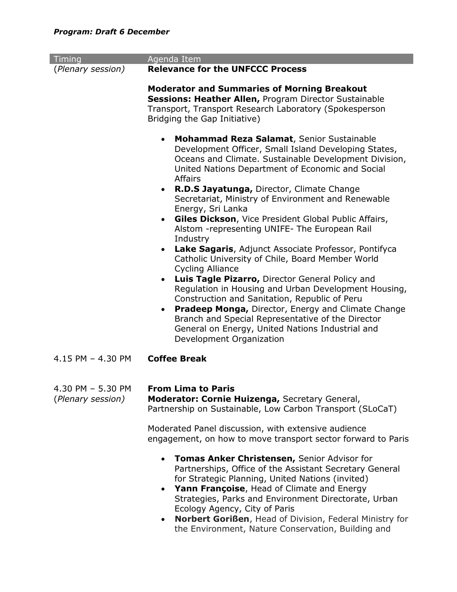| Timing                                 | Agenda Item                                                                                                                                                                                                                                                                                                                                                                                                                                                                                                                                                                                        |
|----------------------------------------|----------------------------------------------------------------------------------------------------------------------------------------------------------------------------------------------------------------------------------------------------------------------------------------------------------------------------------------------------------------------------------------------------------------------------------------------------------------------------------------------------------------------------------------------------------------------------------------------------|
| (Plenary session)                      | <b>Relevance for the UNFCCC Process</b>                                                                                                                                                                                                                                                                                                                                                                                                                                                                                                                                                            |
|                                        | <b>Moderator and Summaries of Morning Breakout</b><br><b>Sessions: Heather Allen, Program Director Sustainable</b><br>Transport, Transport Research Laboratory (Spokesperson<br>Bridging the Gap Initiative)                                                                                                                                                                                                                                                                                                                                                                                       |
|                                        | <b>Mohammad Reza Salamat, Senior Sustainable</b><br>$\bullet$<br>Development Officer, Small Island Developing States,<br>Oceans and Climate. Sustainable Development Division,<br>United Nations Department of Economic and Social<br><b>Affairs</b><br>R.D.S Jayatunga, Director, Climate Change<br>$\bullet$<br>Secretariat, Ministry of Environment and Renewable<br>Energy, Sri Lanka<br>Giles Dickson, Vice President Global Public Affairs,<br>$\bullet$<br>Alstom - representing UNIFE - The European Rail<br>Industry<br>Lake Sagaris, Adjunct Associate Professor, Pontifyca<br>$\bullet$ |
|                                        | Catholic University of Chile, Board Member World<br><b>Cycling Alliance</b><br><b>Luis Tagle Pizarro, Director General Policy and</b><br>$\bullet$<br>Regulation in Housing and Urban Development Housing,<br>Construction and Sanitation, Republic of Peru<br>Pradeep Monga, Director, Energy and Climate Change<br>$\bullet$<br>Branch and Special Representative of the Director<br>General on Energy, United Nations Industrial and<br>Development Organization                                                                                                                                |
| 4.15 PM - 4.30 PM                      | <b>Coffee Break</b>                                                                                                                                                                                                                                                                                                                                                                                                                                                                                                                                                                                |
| 4.30 PM - 5.30 PM<br>(Plenary session) | <b>From Lima to Paris</b><br>Moderator: Cornie Huizenga, Secretary General,<br>Partnership on Sustainable, Low Carbon Transport (SLoCaT)                                                                                                                                                                                                                                                                                                                                                                                                                                                           |
|                                        | Moderated Panel discussion, with extensive audience<br>engagement, on how to move transport sector forward to Paris                                                                                                                                                                                                                                                                                                                                                                                                                                                                                |
|                                        | <b>Tomas Anker Christensen, Senior Advisor for</b><br>$\bullet$<br>Partnerships, Office of the Assistant Secretary General<br>for Strategic Planning, United Nations (invited)<br>Yann Françoise, Head of Climate and Energy<br>$\bullet$<br>Strategies, Parks and Environment Directorate, Urban<br>Ecology Agency, City of Paris<br>Norbert Gorißen, Head of Division, Federal Ministry for<br>٠<br>the Environment, Nature Conservation, Building and                                                                                                                                           |